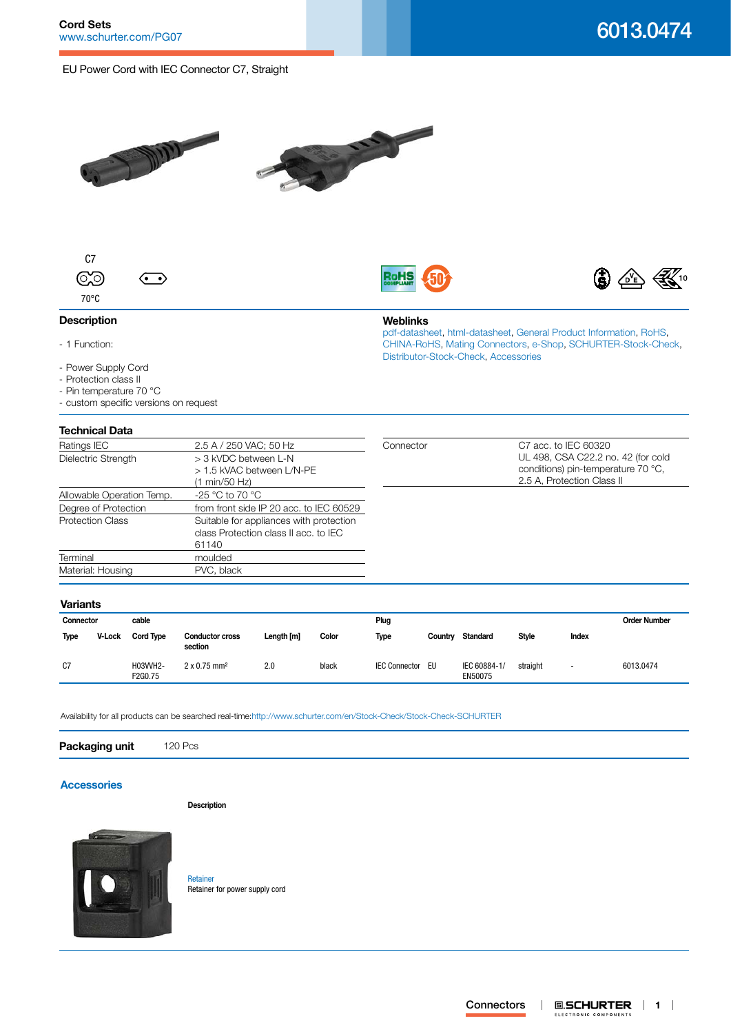# EU Power Cord with IEC Connector C7, Straight







**Weblinks**

[Distributor-Stock-Check,](http:///en/Stock-Check/Stock-Check-Distributor?partnumber1=6013.0474) [Accessories](http://www.schurter.ch/wwwsc/con_z01.asp)

[pdf-datasheet](http://www.schurter.ch/pdf/english/typ_6013.0474.pdf), [html-datasheet](http://www.schurter.ch/en/datasheet/6013.0474), [General Product Information,](http://www.schurter.ch/products/iec_connector_overview.asp) [RoHS,](http://www.schurter.ch/company/rohs.asp) [CHINA-RoHS,](http://www.schurter.ch/company/china_rohs.asp) [Mating Connectors](http://www.schurter.ch/Components/Connectors/Mating-Connectors), [e-Shop](http:///en/Stock-Check/e-Shop?MATNR=6013.0474&COM_QTY=1&AUTOSEARCH=true&VARIANT=E-SHOP), [SCHURTER-Stock-Check](http:///en/Stock-Check/Stock-Check-SCHURTER?MATNR=6013.0474&COM_QTY=120&AUTOSEARCH=true),



## **Description**

- 1 Function:
- Power Supply Cord
- Protection class II
- Pin temperature 70 °C
- custom specific versions on request

## **Technical Data**

| Ratings IEC               | 2.5 A / 250 VAC; 50 Hz                  | Connector | C7 acc. to IEC 60320               |
|---------------------------|-----------------------------------------|-----------|------------------------------------|
| Dielectric Strength       | > 3 kVDC between L-N                    |           | UL 498, CSA C22.2 no. 42 (for cold |
|                           | > 1.5 kVAC between L/N-PE               |           | conditions) pin-temperature 70 °C, |
|                           | (1 min/50 Hz)                           |           | 2.5 A, Protection Class II         |
| Allowable Operation Temp. | -25 °C to 70 °C                         |           |                                    |
| Degree of Protection      | from front side IP 20 acc. to IEC 60529 |           |                                    |
| <b>Protection Class</b>   | Suitable for appliances with protection |           |                                    |
|                           | class Protection class II acc. to IEC   |           |                                    |
|                           | 61140                                   |           |                                    |
| Terminal                  | moulded                                 |           |                                    |
| Material: Housing         | PVC, black                              |           |                                    |
|                           |                                         |           |                                    |

## **Variants**

| .           |        |                     |                                   |            |       |                      |         |                         |              |                          |           |
|-------------|--------|---------------------|-----------------------------------|------------|-------|----------------------|---------|-------------------------|--------------|--------------------------|-----------|
| Connector   |        | cable               |                                   |            |       | Plug                 |         |                         |              | <b>Order Number</b>      |           |
| <b>Type</b> | V-Lock | <b>Cord Type</b>    | <b>Conductor cross</b><br>section | Length [m] | Color | Type                 | Countrv | Standard                | <b>Style</b> | Index                    |           |
| C7          |        | H03VVH2-<br>F2G0.75 | $2 \times 0.75$ mm <sup>2</sup>   | 2.0        | black | <b>IEC Connector</b> | EU      | IEC 60884-1/<br>EN50075 | straight     | $\overline{\phantom{a}}$ | 6013.0474 |

Availability for all products can be searched real-time[:http://www.schurter.com/en/Stock-Check/Stock-Check-SCHURTER](http://www.schurter.com/en/Stock-Check/Stock-Check-SCHURTER)

| Packaging unit 120 Pcs |  |  |  |  |  |  |
|------------------------|--|--|--|--|--|--|
|------------------------|--|--|--|--|--|--|

### **[Accessories](http://www.schurter.ch/wwwsc/con_z01.asphttp://www.schurter.ch/wwwsc/con_z01.asphttp://www.schurter.ch/wwwsc/con_z01.asphttp://www.schurter.ch/wwwsc/con_z01.asphttp://www.schurter.ch/wwwsc/con_z01.asphttp://www.schurter.ch/wwwsc/con_z01.asphttp://www.schurter.ch/wwwsc/con_z01.asp)**

**Description**



[Retainer](http://www.schurter.ch/pdf/english/typ_Retainer.pdf) Retainer for power supply cord

#### **E.SCHURTER | 1 | Connectors**  $\overline{\phantom{a}}$ ELECTRONIC COMPONENTS